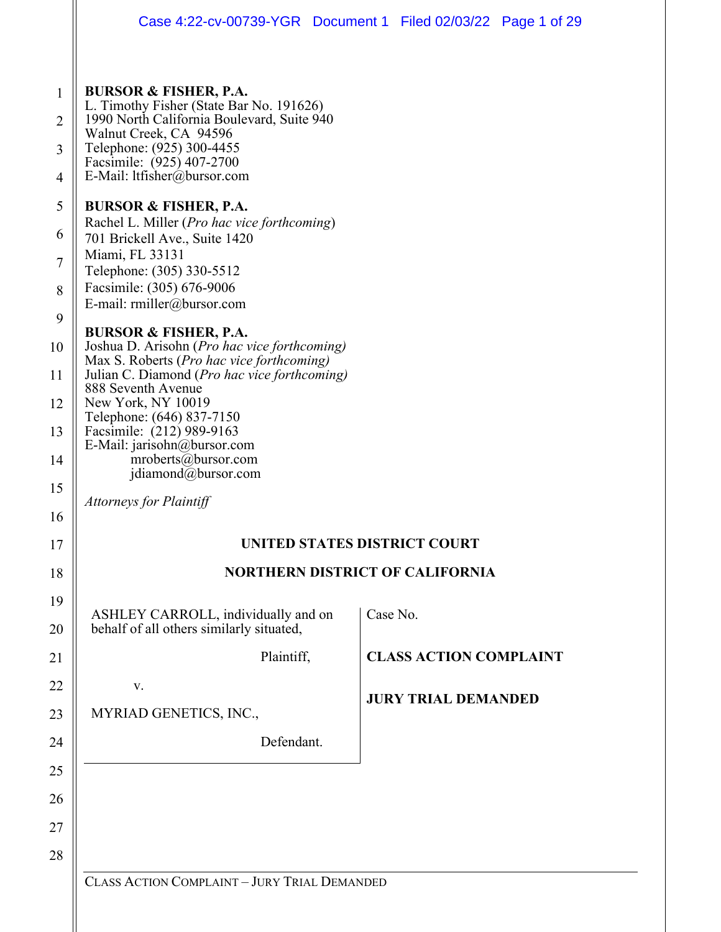| Case 4:22-cv-00739-YGR  Document 1  Filed 02/03/22  Page 1 of 29                                                                                                                                                                                                                                                                                                 |          |                                        |  |
|------------------------------------------------------------------------------------------------------------------------------------------------------------------------------------------------------------------------------------------------------------------------------------------------------------------------------------------------------------------|----------|----------------------------------------|--|
| <b>BURSOR &amp; FISHER, P.A.</b><br>L. Timothy Fisher (State Bar No. 191626)<br>1990 North California Boulevard, Suite 940<br>Walnut Creek, CA 94596<br>Telephone: (925) 300-4455<br>Facsimile: (925) 407-2700<br>E-Mail: ltfisher@bursor.com                                                                                                                    |          |                                        |  |
| <b>BURSOR &amp; FISHER, P.A.</b><br>Rachel L. Miller (Pro hac vice forthcoming)<br>701 Brickell Ave., Suite 1420<br>Miami, FL 33131<br>Telephone: (305) 330-5512<br>Facsimile: (305) 676-9006<br>E-mail: rmiller@bursor.com                                                                                                                                      |          |                                        |  |
| <b>BURSOR &amp; FISHER, P.A.</b><br>Joshua D. Arisohn (Pro hac vice forthcoming)<br>Max S. Roberts (Pro hac vice forthcoming)<br>Julian C. Diamond (Pro hac vice forthcoming)<br>888 Seventh Avenue<br>New York, NY 10019<br>Telephone: (646) 837-7150<br>Facsimile: (212) 989-9163<br>E-Mail: jarisohn@bursor.com<br>mroberts@bursor.com<br>jdiamond@bursor.com |          |                                        |  |
| <b>Attorneys for Plaintiff</b>                                                                                                                                                                                                                                                                                                                                   |          | UNITED STATES DISTRICT COURT           |  |
|                                                                                                                                                                                                                                                                                                                                                                  |          | <b>NORTHERN DISTRICT OF CALIFORNIA</b> |  |
| ASHLEY CARROLL, individually and on<br>behalf of all others similarly situated,                                                                                                                                                                                                                                                                                  | Case No. |                                        |  |
| Plaintiff,                                                                                                                                                                                                                                                                                                                                                       |          | <b>CLASS ACTION COMPLAINT</b>          |  |
| V.<br>MYRIAD GENETICS, INC.,                                                                                                                                                                                                                                                                                                                                     |          | <b>JURY TRIAL DEMANDED</b>             |  |
| Defendant.                                                                                                                                                                                                                                                                                                                                                       |          |                                        |  |
|                                                                                                                                                                                                                                                                                                                                                                  |          |                                        |  |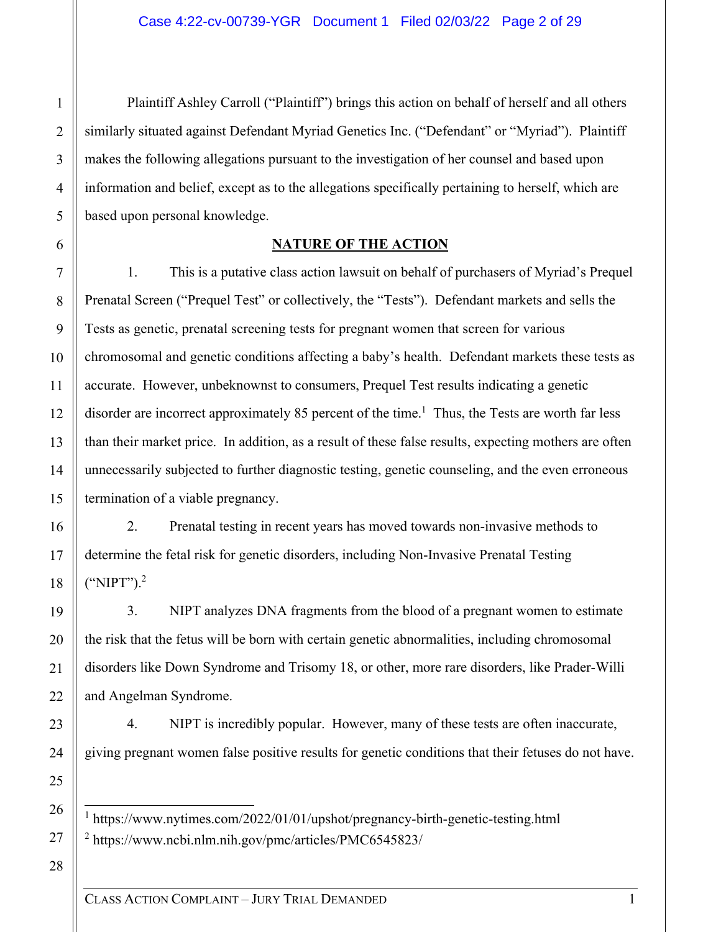Plaintiff Ashley Carroll ("Plaintiff") brings this action on behalf of herself and all others similarly situated against Defendant Myriad Genetics Inc. ("Defendant" or "Myriad"). Plaintiff makes the following allegations pursuant to the investigation of her counsel and based upon information and belief, except as to the allegations specifically pertaining to herself, which are based upon personal knowledge.

# **NATURE OF THE ACTION**

1. This is a putative class action lawsuit on behalf of purchasers of Myriad's Prequel Prenatal Screen ("Prequel Test" or collectively, the "Tests"). Defendant markets and sells the Tests as genetic, prenatal screening tests for pregnant women that screen for various chromosomal and genetic conditions affecting a baby's health. Defendant markets these tests as accurate. However, unbeknownst to consumers, Prequel Test results indicating a genetic disorder are incorrect approximately 85 percent of the time.<sup>1</sup> Thus, the Tests are worth far less than their market price. In addition, as a result of these false results, expecting mothers are often unnecessarily subjected to further diagnostic testing, genetic counseling, and the even erroneous termination of a viable pregnancy.

2. Prenatal testing in recent years has moved towards non-invasive methods to determine the fetal risk for genetic disorders, including Non-Invasive Prenatal Testing ("NIPT").<sup>2</sup>

3. NIPT analyzes DNA fragments from the blood of a pregnant women to estimate the risk that the fetus will be born with certain genetic abnormalities, including chromosomal disorders like Down Syndrome and Trisomy 18, or other, more rare disorders, like Prader-Willi and Angelman Syndrome.

4. NIPT is incredibly popular. However, many of these tests are often inaccurate, giving pregnant women false positive results for genetic conditions that their fetuses do not have.

<sup>1</sup> https://www.nytimes.com/2022/01/01/upshot/pregnancy-birth-genetic-testing.html 2 https://www.ncbi.nlm.nih.gov/pmc/articles/PMC6545823/

28

27

1

2

3

4

5

6

7

8

9

10

11

12

13

14

15

16

17

18

19

20

21

22

23

24

25

26

CLASS ACTION COMPLAINT – JURY TRIAL DEMANDED 1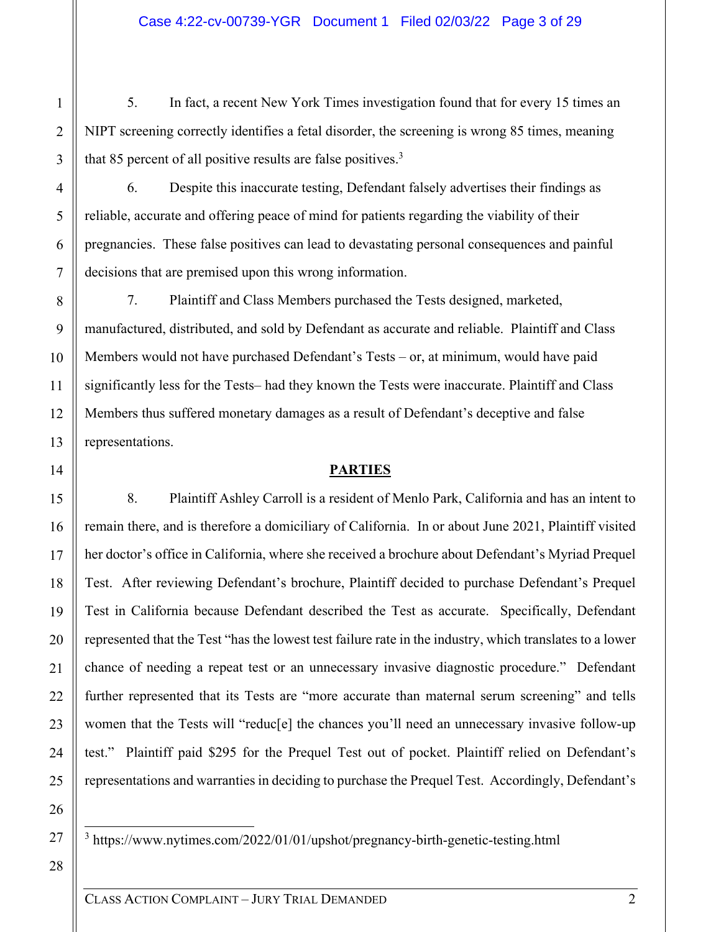5. In fact, a recent New York Times investigation found that for every 15 times an NIPT screening correctly identifies a fetal disorder, the screening is wrong 85 times, meaning that 85 percent of all positive results are false positives. $3$ 

6. Despite this inaccurate testing, Defendant falsely advertises their findings as reliable, accurate and offering peace of mind for patients regarding the viability of their pregnancies. These false positives can lead to devastating personal consequences and painful decisions that are premised upon this wrong information.

7. Plaintiff and Class Members purchased the Tests designed, marketed, manufactured, distributed, and sold by Defendant as accurate and reliable. Plaintiff and Class Members would not have purchased Defendant's Tests – or, at minimum, would have paid significantly less for the Tests– had they known the Tests were inaccurate. Plaintiff and Class Members thus suffered monetary damages as a result of Defendant's deceptive and false representations.

# **PARTIES**

8. Plaintiff Ashley Carroll is a resident of Menlo Park, California and has an intent to remain there, and is therefore a domiciliary of California. In or about June 2021, Plaintiff visited her doctor's office in California, where she received a brochure about Defendant's Myriad Prequel Test. After reviewing Defendant's brochure, Plaintiff decided to purchase Defendant's Prequel Test in California because Defendant described the Test as accurate. Specifically, Defendant represented that the Test "has the lowest test failure rate in the industry, which translates to a lower chance of needing a repeat test or an unnecessary invasive diagnostic procedure." Defendant further represented that its Tests are "more accurate than maternal serum screening" and tells women that the Tests will "reduc<sup>[e]</sup> the chances you'll need an unnecessary invasive follow-up test." Plaintiff paid \$295 for the Prequel Test out of pocket. Plaintiff relied on Defendant's representations and warranties in deciding to purchase the Prequel Test. Accordingly, Defendant's

- <sup>3</sup> https://www.nytimes.com/2022/01/01/upshot/pregnancy-birth-genetic-testing.html
- 28

1

2

3

4

5

6

7

8

9

10

11

12

13

14

15

16

17

18

19

20

21

22

23

24

25

26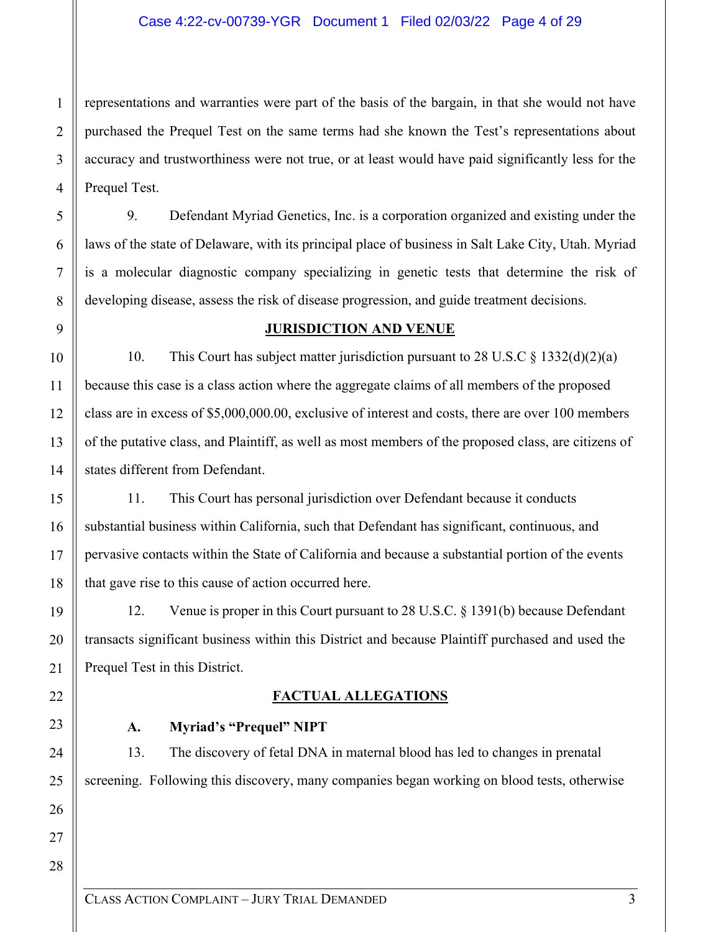#### Case 4:22-cv-00739-YGR Document 1 Filed 02/03/22 Page 4 of 29

representations and warranties were part of the basis of the bargain, in that she would not have purchased the Prequel Test on the same terms had she known the Test's representations about accuracy and trustworthiness were not true, or at least would have paid significantly less for the Prequel Test.

9. Defendant Myriad Genetics, Inc. is a corporation organized and existing under the laws of the state of Delaware, with its principal place of business in Salt Lake City, Utah. Myriad is a molecular diagnostic company specializing in genetic tests that determine the risk of developing disease, assess the risk of disease progression, and guide treatment decisions.

#### **JURISDICTION AND VENUE**

10. This Court has subject matter jurisdiction pursuant to 28 U.S.C § 1332(d)(2)(a) because this case is a class action where the aggregate claims of all members of the proposed class are in excess of \$5,000,000.00, exclusive of interest and costs, there are over 100 members of the putative class, and Plaintiff, as well as most members of the proposed class, are citizens of states different from Defendant.

11. This Court has personal jurisdiction over Defendant because it conducts substantial business within California, such that Defendant has significant, continuous, and pervasive contacts within the State of California and because a substantial portion of the events that gave rise to this cause of action occurred here.

12. Venue is proper in this Court pursuant to 28 U.S.C. § 1391(b) because Defendant transacts significant business within this District and because Plaintiff purchased and used the Prequel Test in this District.

### **FACTUAL ALLEGATIONS**

### **A. Myriad's "Prequel" NIPT**

13. The discovery of fetal DNA in maternal blood has led to changes in prenatal screening. Following this discovery, many companies began working on blood tests, otherwise

1

2

3

4

5

6

7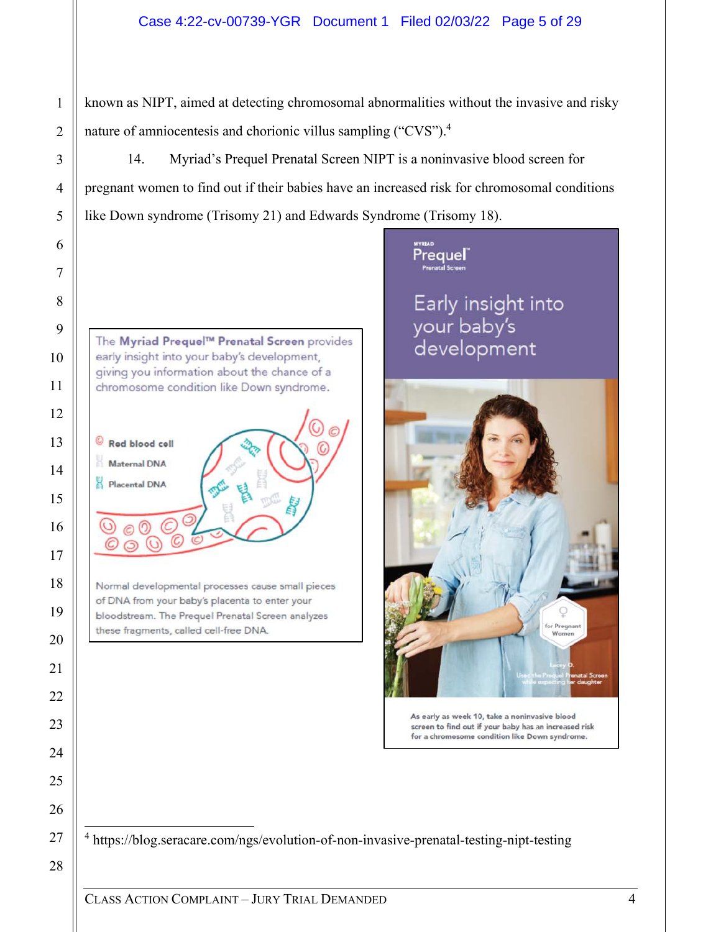# Case 4:22-cv-00739-YGR Document 1 Filed 02/03/22 Page 5 of 29

known as NIPT, aimed at detecting chromosomal abnormalities without the invasive and risky nature of amniocentesis and chorionic villus sampling ("CVS").<sup>4</sup>

14. Myriad's Prequel Prenatal Screen NIPT is a noninvasive blood screen for pregnant women to find out if their babies have an increased risk for chromosomal conditions like Down syndrome (Trisomy 21) and Edwards Syndrome (Trisomy 18).

The Myriad Prequel™ Prenatal Screen provides early insight into your baby's development, giving you information about the chance of a chromosome condition like Down syndrome.

Red blood cell

1

2

3

4

5

6

7

8

9

10

11

12

13

14

15

16

17

18

19

20

**Maternal DNA** Placental DNA

 $\odot$ 

Normal developmental processes cause small pieces of DNA from your baby's placenta to enter your bloodstream. The Prequel Prenatal Screen analyzes these fragments, called cell-free DNA.

# **Prequel**

Early insight into your baby's<br>development



As early as week 10, take a noninvasive blood screen to find out if your baby has an increased risk for a chromosome condition like Down syndrome.

<sup>4</sup> https://blog.seracare.com/ngs/evolution-of-non-invasive-prenatal-testing-nipt-testing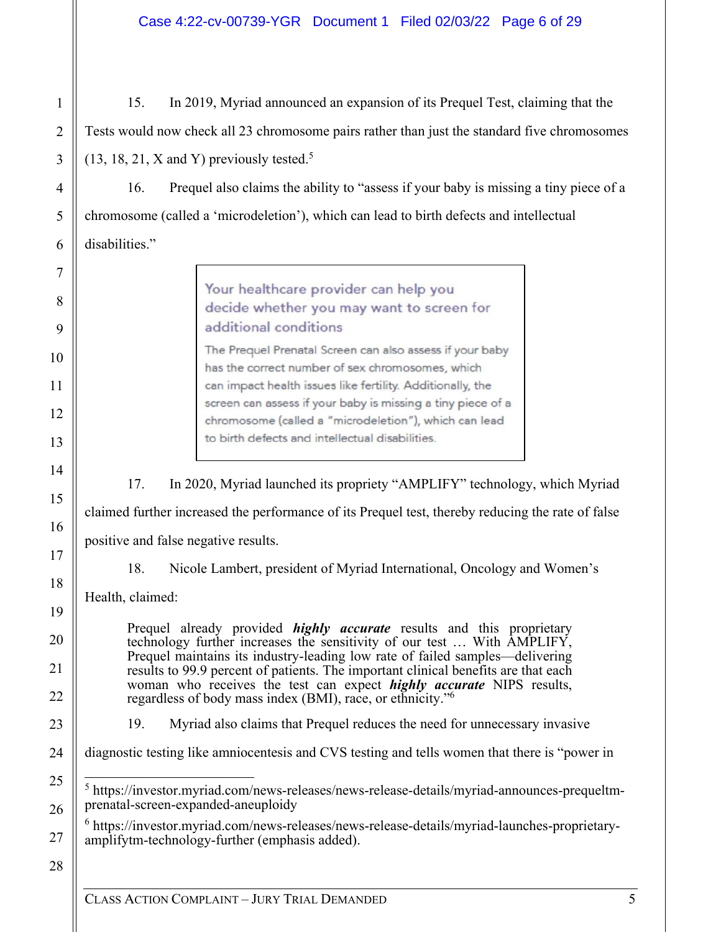15. In 2019, Myriad announced an expansion of its Prequel Test, claiming that the Tests would now check all 23 chromosome pairs rather than just the standard five chromosomes  $(13, 18, 21, X \text{ and } Y)$  previously tested.<sup>5</sup>

16. Prequel also claims the ability to "assess if your baby is missing a tiny piece of a chromosome (called a 'microdeletion'), which can lead to birth defects and intellectual disabilities."

> Your healthcare provider can help you decide whether you may want to screen for additional conditions

The Prequel Prenatal Screen can also assess if your baby has the correct number of sex chromosomes, which can impact health issues like fertility. Additionally, the screen can assess if your baby is missing a tiny piece of a chromosome (called a "microdeletion"), which can lead to birth defects and intellectual disabilities.

17. In 2020, Myriad launched its propriety "AMPLIFY" technology, which Myriad

claimed further increased the performance of its Prequel test, thereby reducing the rate of false

positive and false negative results.

18. Nicole Lambert, president of Myriad International, Oncology and Women's

Health, claimed:

Prequel already provided *highly accurate* results and this proprietary technology further increases the sensitivity of our test … With AMPLIFY, Prequel maintains its industry-leading low rate of failed samples—delivering results to 99.9 percent of patients. The important clinical benefits are that each woman who receives the test can expect *highly accurate* NIPS results, regardless of body mass index (BMI), race, or ethnicity."<sup>6</sup>

19. Myriad also claims that Prequel reduces the need for unnecessary invasive

diagnostic testing like amniocentesis and CVS testing and tells women that there is "power in

<sup>5</sup> https://investor.myriad.com/news-releases/news-release-details/myriad-announces-prequeltmprenatal-screen-expanded-aneuploidy

6 https://investor.myriad.com/news-releases/news-release-details/myriad-launches-proprietaryamplifytm-technology-further (emphasis added).

28

1

2

3

4

5

6

7

8

9

10

11

12

13

14

15

16

17

18

19

20

21

22

23

24

25

26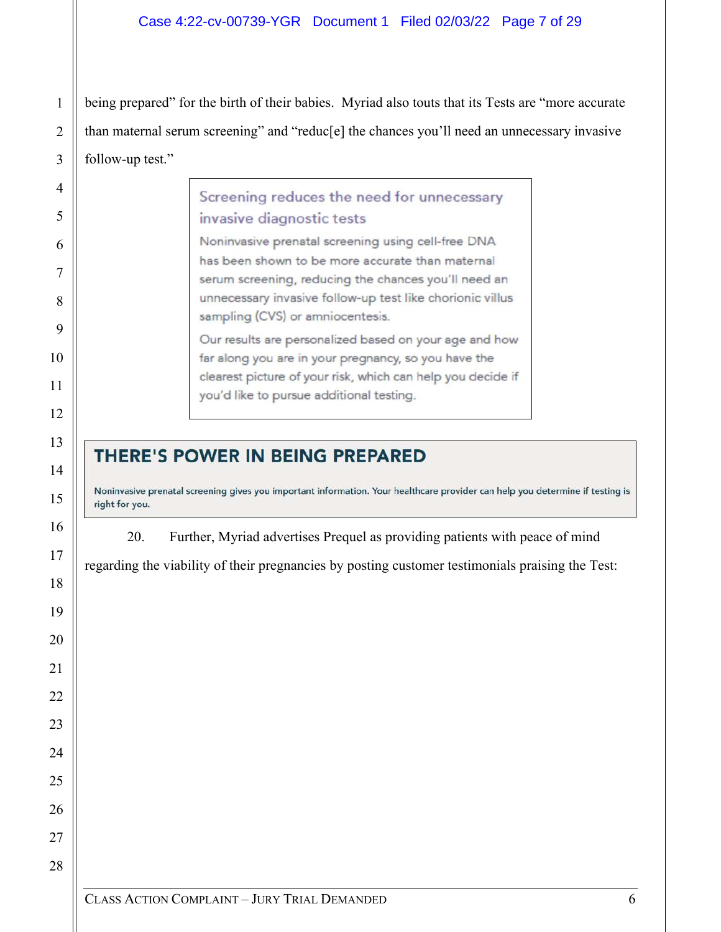being prepared" for the birth of their babies. Myriad also touts that its Tests are "more accurate than maternal serum screening" and "reduc[e] the chances you'll need an unnecessary invasive follow-up test."

| Screening reduces the need for unnecessary<br>invasive diagnostic tests                                                                                                                                                   |  |
|---------------------------------------------------------------------------------------------------------------------------------------------------------------------------------------------------------------------------|--|
| Noninvasive prenatal screening using cell-free DNA                                                                                                                                                                        |  |
| has been shown to be more accurate than maternal<br>serum screening, reducing the chances you'll need an<br>unnecessary invasive follow-up test like chorionic villus<br>sampling (CVS) or amniocentesis.                 |  |
| Our results are personalized based on your age and how<br>far along you are in your pregnancy, so you have the<br>clearest picture of your risk, which can help you decide if<br>you'd like to pursue additional testing. |  |

# THERE'S POWER IN BEING PREPARED

Noninvasive prenatal screening gives you important information. Your healthcare provider can help you determine if testing is right for you.

20. Further, Myriad advertises Prequel as providing patients with peace of mind

regarding the viability of their pregnancies by posting customer testimonials praising the Test: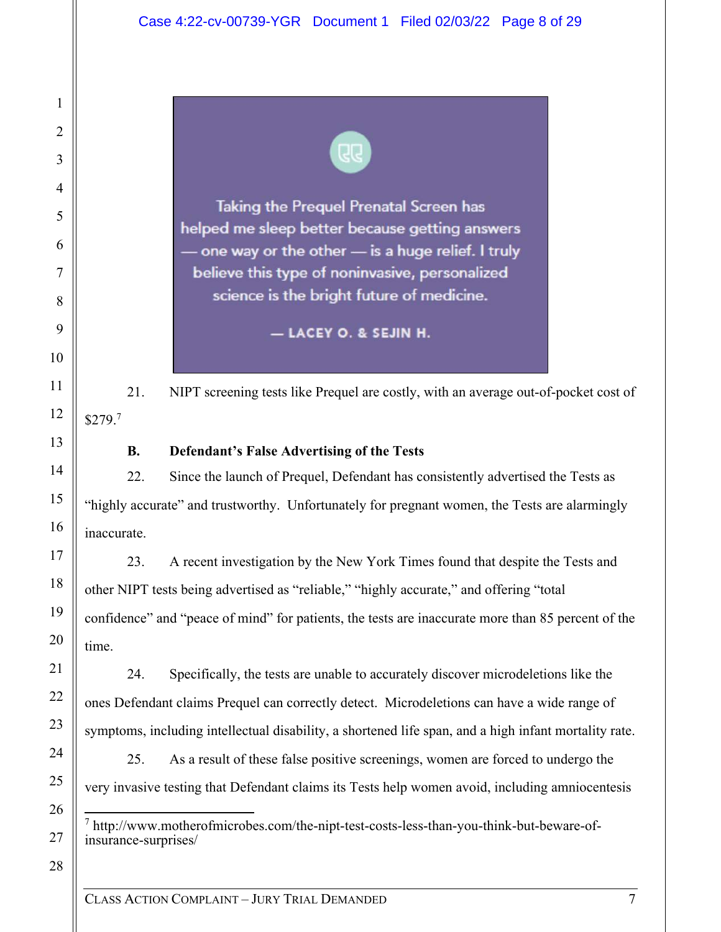

Taking the Prequel Prenatal Screen has helped me sleep better because getting answers one way or the other - is a huge relief. I truly believe this type of noninvasive, personalized science is the bright future of medicine.

- LACEY O. & SEJIN H.

21. NIPT screening tests like Prequel are costly, with an average out-of-pocket cost of  $$279.<sup>7</sup>$ 

# **B. Defendant's False Advertising of the Tests**

22. Since the launch of Prequel, Defendant has consistently advertised the Tests as "highly accurate" and trustworthy. Unfortunately for pregnant women, the Tests are alarmingly inaccurate.

23. A recent investigation by the New York Times found that despite the Tests and other NIPT tests being advertised as "reliable," "highly accurate," and offering "total confidence" and "peace of mind" for patients, the tests are inaccurate more than 85 percent of the time.

24. Specifically, the tests are unable to accurately discover microdeletions like the ones Defendant claims Prequel can correctly detect. Microdeletions can have a wide range of symptoms, including intellectual disability, a shortened life span, and a high infant mortality rate.

25. As a result of these false positive screenings, women are forced to undergo the very invasive testing that Defendant claims its Tests help women avoid, including amniocentesis

- 7 http://www.motherofmicrobes.com/the-nipt-test-costs-less-than-you-think-but-beware-ofinsurance-surprises/
- 28

1

2

3

4

5

6

7

8

9

10

11

12

13

14

15

16

17

18

19

20

21

22

23

24

25

26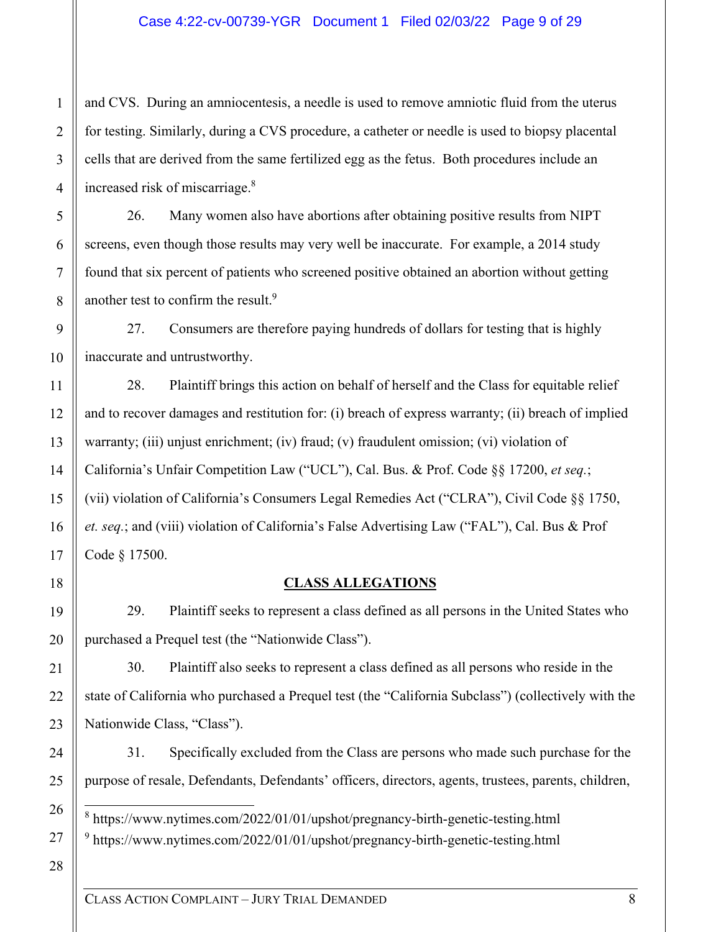and CVS. During an amniocentesis, a needle is used to remove amniotic fluid from the uterus for testing. Similarly, during a CVS procedure, a catheter or needle is used to biopsy placental cells that are derived from the same fertilized egg as the fetus. Both procedures include an increased risk of miscarriage.<sup>8</sup>

26. Many women also have abortions after obtaining positive results from NIPT screens, even though those results may very well be inaccurate. For example, a 2014 study found that six percent of patients who screened positive obtained an abortion without getting another test to confirm the result.<sup>9</sup>

27. Consumers are therefore paying hundreds of dollars for testing that is highly inaccurate and untrustworthy.

28. Plaintiff brings this action on behalf of herself and the Class for equitable relief and to recover damages and restitution for: (i) breach of express warranty; (ii) breach of implied warranty; (iii) unjust enrichment; (iv) fraud; (v) fraudulent omission; (vi) violation of California's Unfair Competition Law ("UCL"), Cal. Bus. & Prof. Code §§ 17200, *et seq.*; (vii) violation of California's Consumers Legal Remedies Act ("CLRA"), Civil Code §§ 1750, *et. seq.*; and (viii) violation of California's False Advertising Law ("FAL"), Cal. Bus & Prof Code § 17500.

# **CLASS ALLEGATIONS**

29. Plaintiff seeks to represent a class defined as all persons in the United States who purchased a Prequel test (the "Nationwide Class").

30. Plaintiff also seeks to represent a class defined as all persons who reside in the state of California who purchased a Prequel test (the "California Subclass") (collectively with the Nationwide Class, "Class").

31. Specifically excluded from the Class are persons who made such purchase for the purpose of resale, Defendants, Defendants' officers, directors, agents, trustees, parents, children,

8 https://www.nytimes.com/2022/01/01/upshot/pregnancy-birth-genetic-testing.html <sup>9</sup> https://www.nytimes.com/2022/01/01/upshot/pregnancy-birth-genetic-testing.html

28

1

2

3

4

5

6

7

8

9

10

11

12

13

14

15

16

17

18

19

20

21

22

23

24

25

26

27

CLASS ACTION COMPLAINT – JURY TRIAL DEMANDED 8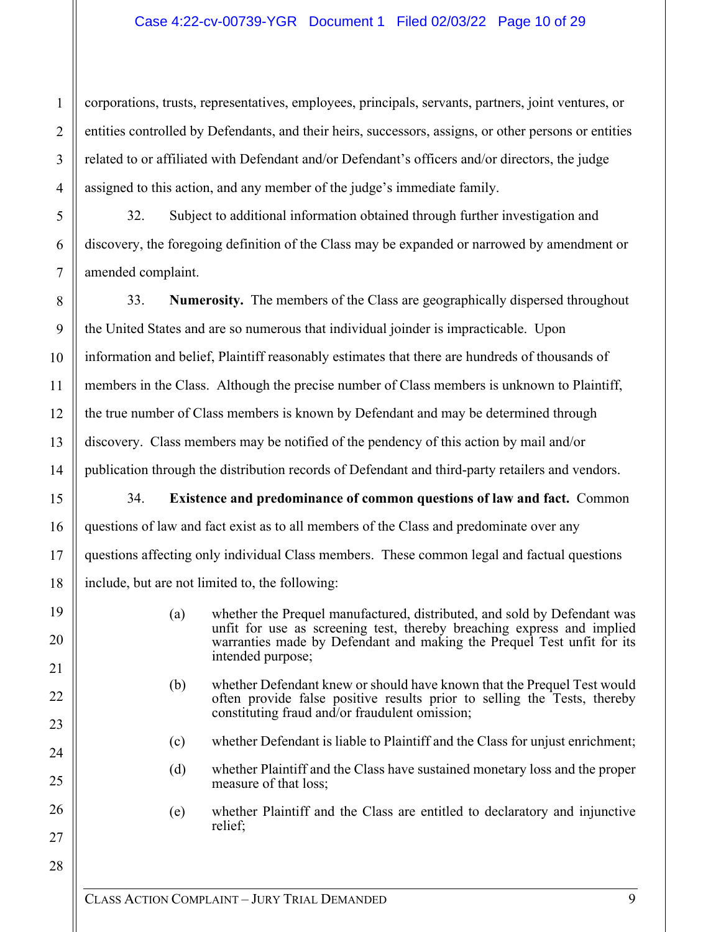### Case 4:22-cv-00739-YGR Document 1 Filed 02/03/22 Page 10 of 29

corporations, trusts, representatives, employees, principals, servants, partners, joint ventures, or entities controlled by Defendants, and their heirs, successors, assigns, or other persons or entities related to or affiliated with Defendant and/or Defendant's officers and/or directors, the judge assigned to this action, and any member of the judge's immediate family.

32. Subject to additional information obtained through further investigation and discovery, the foregoing definition of the Class may be expanded or narrowed by amendment or amended complaint.

33. **Numerosity.** The members of the Class are geographically dispersed throughout the United States and are so numerous that individual joinder is impracticable. Upon information and belief, Plaintiff reasonably estimates that there are hundreds of thousands of members in the Class. Although the precise number of Class members is unknown to Plaintiff, the true number of Class members is known by Defendant and may be determined through discovery. Class members may be notified of the pendency of this action by mail and/or publication through the distribution records of Defendant and third-party retailers and vendors.

34. **Existence and predominance of common questions of law and fact.** Common questions of law and fact exist as to all members of the Class and predominate over any questions affecting only individual Class members. These common legal and factual questions include, but are not limited to, the following:

- (a) whether the Prequel manufactured, distributed, and sold by Defendant was unfit for use as screening test, thereby breaching express and implied warranties made by Defendant and making the Prequel Test unfit for its intended purpose;
- (b) whether Defendant knew or should have known that the Prequel Test would often provide false positive results prior to selling the Tests, thereby constituting fraud and/or fraudulent omission;
- (c) whether Defendant is liable to Plaintiff and the Class for unjust enrichment;
- (d) whether Plaintiff and the Class have sustained monetary loss and the proper measure of that loss;
- (e) whether Plaintiff and the Class are entitled to declaratory and injunctive relief;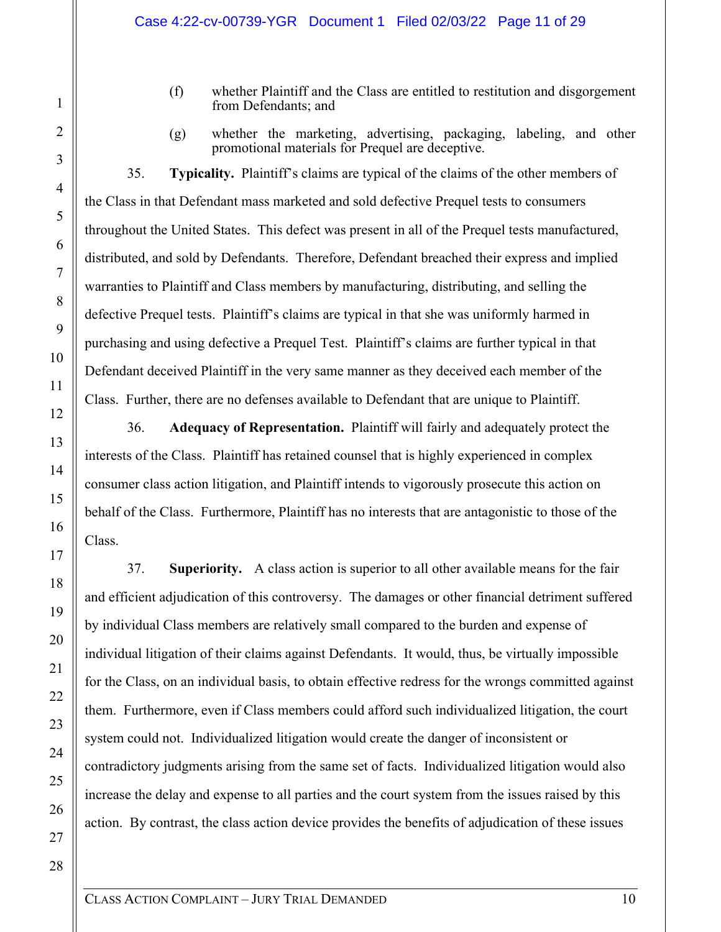- (f) whether Plaintiff and the Class are entitled to restitution and disgorgement from Defendants; and
- (g) whether the marketing, advertising, packaging, labeling, and other promotional materials for Prequel are deceptive.

35. **Typicality.** Plaintiff's claims are typical of the claims of the other members of the Class in that Defendant mass marketed and sold defective Prequel tests to consumers throughout the United States. This defect was present in all of the Prequel tests manufactured, distributed, and sold by Defendants. Therefore, Defendant breached their express and implied warranties to Plaintiff and Class members by manufacturing, distributing, and selling the defective Prequel tests. Plaintiff's claims are typical in that she was uniformly harmed in purchasing and using defective a Prequel Test. Plaintiff's claims are further typical in that Defendant deceived Plaintiff in the very same manner as they deceived each member of the Class. Further, there are no defenses available to Defendant that are unique to Plaintiff.

36. **Adequacy of Representation.** Plaintiff will fairly and adequately protect the interests of the Class. Plaintiff has retained counsel that is highly experienced in complex consumer class action litigation, and Plaintiff intends to vigorously prosecute this action on behalf of the Class. Furthermore, Plaintiff has no interests that are antagonistic to those of the Class.

37. **Superiority.** A class action is superior to all other available means for the fair and efficient adjudication of this controversy. The damages or other financial detriment suffered by individual Class members are relatively small compared to the burden and expense of individual litigation of their claims against Defendants. It would, thus, be virtually impossible for the Class, on an individual basis, to obtain effective redress for the wrongs committed against them. Furthermore, even if Class members could afford such individualized litigation, the court system could not. Individualized litigation would create the danger of inconsistent or contradictory judgments arising from the same set of facts. Individualized litigation would also increase the delay and expense to all parties and the court system from the issues raised by this action. By contrast, the class action device provides the benefits of adjudication of these issues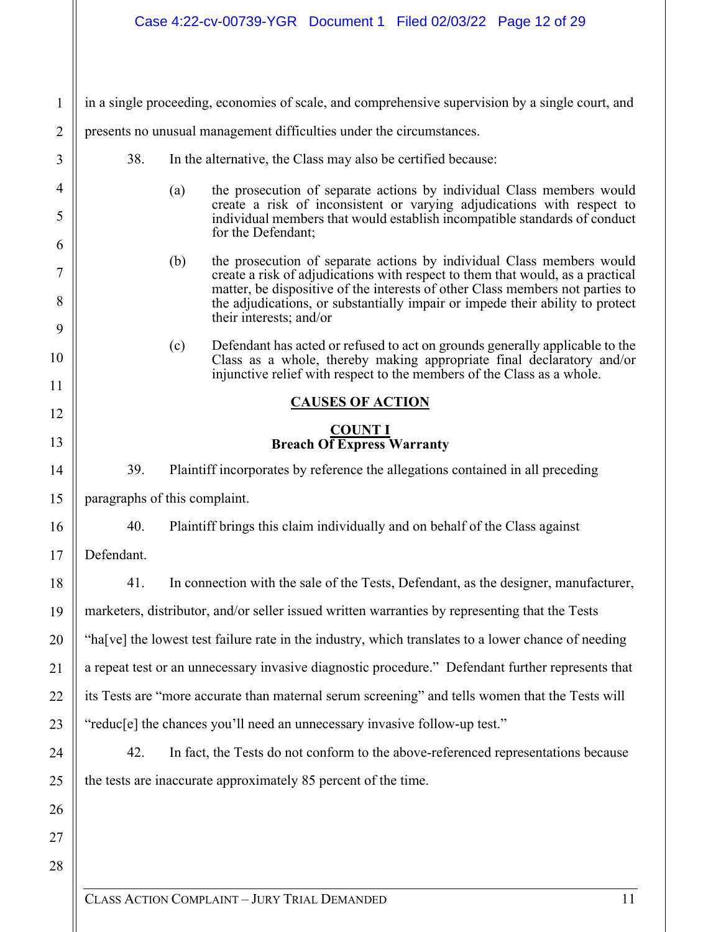| $\mathbf{1}$        | in a single proceeding, economies of scale, and comprehensive supervision by a single court, and |                                                                                                                                                                                                                                                                                                                                  |  |  |  |
|---------------------|--------------------------------------------------------------------------------------------------|----------------------------------------------------------------------------------------------------------------------------------------------------------------------------------------------------------------------------------------------------------------------------------------------------------------------------------|--|--|--|
| $\overline{2}$      | presents no unusual management difficulties under the circumstances.                             |                                                                                                                                                                                                                                                                                                                                  |  |  |  |
| 3                   |                                                                                                  | 38.<br>In the alternative, the Class may also be certified because:                                                                                                                                                                                                                                                              |  |  |  |
| $\overline{4}$<br>5 |                                                                                                  | the prosecution of separate actions by individual Class members would<br>(a)<br>create a risk of inconsistent or varying adjudications with respect to<br>individual members that would establish incompatible standards of conduct                                                                                              |  |  |  |
| 6                   |                                                                                                  | for the Defendant;                                                                                                                                                                                                                                                                                                               |  |  |  |
| 7<br>8              |                                                                                                  | the prosecution of separate actions by individual Class members would<br>(b)<br>create a risk of adjudications with respect to them that would, as a practical<br>matter, be dispositive of the interests of other Class members not parties to<br>the adjudications, or substantially impair or impede their ability to protect |  |  |  |
| 9                   |                                                                                                  | their interests; and/or                                                                                                                                                                                                                                                                                                          |  |  |  |
| 10                  |                                                                                                  | Defendant has acted or refused to act on grounds generally applicable to the<br>(c)<br>Class as a whole, thereby making appropriate final declaratory and/or<br>injunctive relief with respect to the members of the Class as a whole.                                                                                           |  |  |  |
| 11                  |                                                                                                  | <b>CAUSES OF ACTION</b>                                                                                                                                                                                                                                                                                                          |  |  |  |
| 12                  |                                                                                                  | <b>COUNT I</b>                                                                                                                                                                                                                                                                                                                   |  |  |  |
| 13                  |                                                                                                  | <b>Breach Of Express Warranty</b>                                                                                                                                                                                                                                                                                                |  |  |  |
| 14                  | 39.                                                                                              | Plaintiff incorporates by reference the allegations contained in all preceding                                                                                                                                                                                                                                                   |  |  |  |
| 15                  | paragraphs of this complaint.                                                                    |                                                                                                                                                                                                                                                                                                                                  |  |  |  |
| 16                  | 40.                                                                                              | Plaintiff brings this claim individually and on behalf of the Class against                                                                                                                                                                                                                                                      |  |  |  |
| 17                  | Defendant.                                                                                       |                                                                                                                                                                                                                                                                                                                                  |  |  |  |
| 18                  | 41.                                                                                              | In connection with the sale of the Tests, Defendant, as the designer, manufacturer,                                                                                                                                                                                                                                              |  |  |  |
| 19                  |                                                                                                  | marketers, distributor, and/or seller issued written warranties by representing that the Tests                                                                                                                                                                                                                                   |  |  |  |
| 20                  |                                                                                                  | "ha[ve] the lowest test failure rate in the industry, which translates to a lower chance of needing                                                                                                                                                                                                                              |  |  |  |
| 21                  |                                                                                                  | a repeat test or an unnecessary invasive diagnostic procedure." Defendant further represents that                                                                                                                                                                                                                                |  |  |  |
| 22                  |                                                                                                  | its Tests are "more accurate than maternal serum screening" and tells women that the Tests will                                                                                                                                                                                                                                  |  |  |  |
| 23                  |                                                                                                  | "reduc[e] the chances you'll need an unnecessary invasive follow-up test."                                                                                                                                                                                                                                                       |  |  |  |
| 24                  | 42.                                                                                              | In fact, the Tests do not conform to the above-referenced representations because                                                                                                                                                                                                                                                |  |  |  |
| 25                  |                                                                                                  | the tests are inaccurate approximately 85 percent of the time.                                                                                                                                                                                                                                                                   |  |  |  |
| 26                  |                                                                                                  |                                                                                                                                                                                                                                                                                                                                  |  |  |  |
| 27                  |                                                                                                  |                                                                                                                                                                                                                                                                                                                                  |  |  |  |
| 28                  |                                                                                                  |                                                                                                                                                                                                                                                                                                                                  |  |  |  |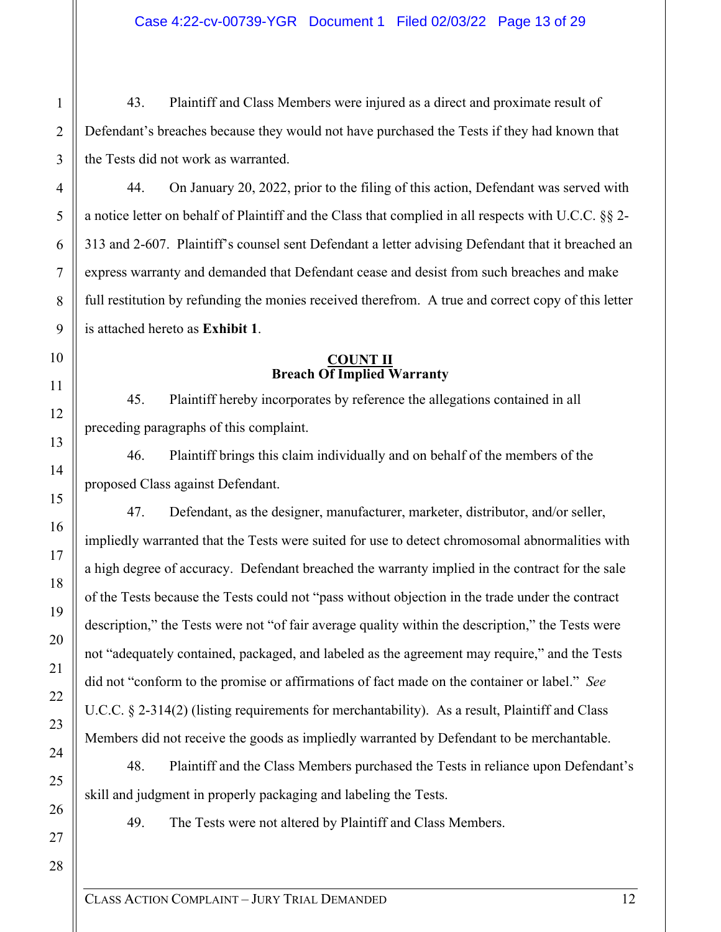43. Plaintiff and Class Members were injured as a direct and proximate result of Defendant's breaches because they would not have purchased the Tests if they had known that the Tests did not work as warranted.

44. On January 20, 2022, prior to the filing of this action, Defendant was served with a notice letter on behalf of Plaintiff and the Class that complied in all respects with U.C.C. §§ 2- 313 and 2-607. Plaintiff's counsel sent Defendant a letter advising Defendant that it breached an express warranty and demanded that Defendant cease and desist from such breaches and make full restitution by refunding the monies received therefrom. A true and correct copy of this letter is attached hereto as **Exhibit 1**.

#### **COUNT II Breach Of Implied Warranty**

45. Plaintiff hereby incorporates by reference the allegations contained in all preceding paragraphs of this complaint.

46. Plaintiff brings this claim individually and on behalf of the members of the proposed Class against Defendant.

47. Defendant, as the designer, manufacturer, marketer, distributor, and/or seller, impliedly warranted that the Tests were suited for use to detect chromosomal abnormalities with a high degree of accuracy. Defendant breached the warranty implied in the contract for the sale of the Tests because the Tests could not "pass without objection in the trade under the contract description," the Tests were not "of fair average quality within the description," the Tests were not "adequately contained, packaged, and labeled as the agreement may require," and the Tests did not "conform to the promise or affirmations of fact made on the container or label." *See*  U.C.C. § 2-314(2) (listing requirements for merchantability). As a result, Plaintiff and Class Members did not receive the goods as impliedly warranted by Defendant to be merchantable.

48. Plaintiff and the Class Members purchased the Tests in reliance upon Defendant's skill and judgment in properly packaging and labeling the Tests.

49. The Tests were not altered by Plaintiff and Class Members.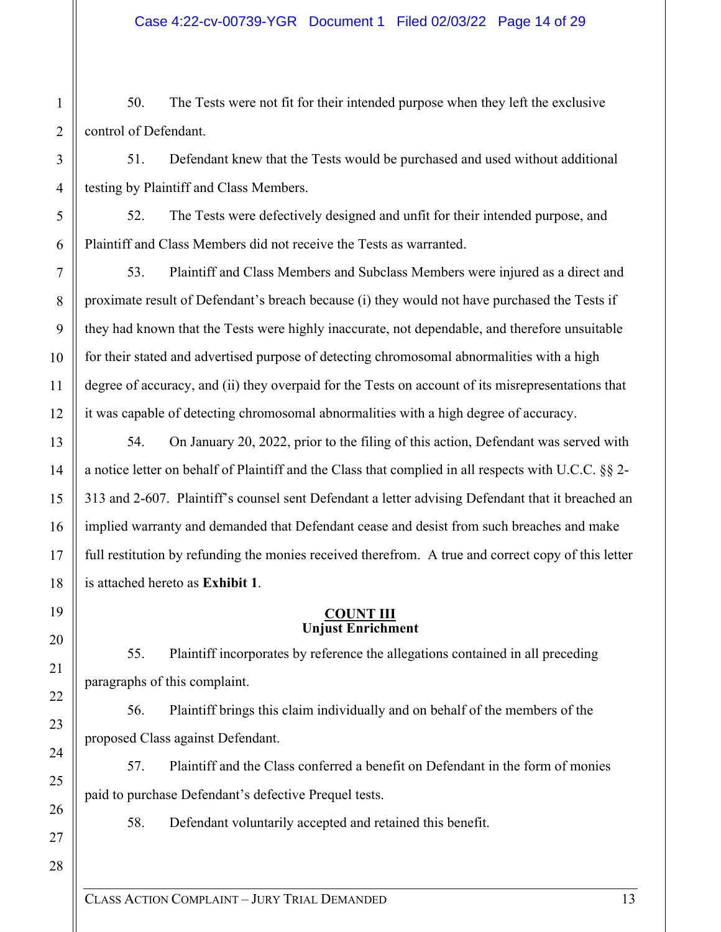50. The Tests were not fit for their intended purpose when they left the exclusive control of Defendant.

51. Defendant knew that the Tests would be purchased and used without additional testing by Plaintiff and Class Members.

52. The Tests were defectively designed and unfit for their intended purpose, and Plaintiff and Class Members did not receive the Tests as warranted.

53. Plaintiff and Class Members and Subclass Members were injured as a direct and proximate result of Defendant's breach because (i) they would not have purchased the Tests if they had known that the Tests were highly inaccurate, not dependable, and therefore unsuitable for their stated and advertised purpose of detecting chromosomal abnormalities with a high degree of accuracy, and (ii) they overpaid for the Tests on account of its misrepresentations that it was capable of detecting chromosomal abnormalities with a high degree of accuracy.

54. On January 20, 2022, prior to the filing of this action, Defendant was served with a notice letter on behalf of Plaintiff and the Class that complied in all respects with U.C.C. §§ 2- 313 and 2-607. Plaintiff's counsel sent Defendant a letter advising Defendant that it breached an implied warranty and demanded that Defendant cease and desist from such breaches and make full restitution by refunding the monies received therefrom. A true and correct copy of this letter is attached hereto as **Exhibit 1**.

### **COUNT III Unjust Enrichment**

55. Plaintiff incorporates by reference the allegations contained in all preceding paragraphs of this complaint.

56. Plaintiff brings this claim individually and on behalf of the members of the proposed Class against Defendant.

57. Plaintiff and the Class conferred a benefit on Defendant in the form of monies paid to purchase Defendant's defective Prequel tests.

58. Defendant voluntarily accepted and retained this benefit.

1

2

3

4

5

6

7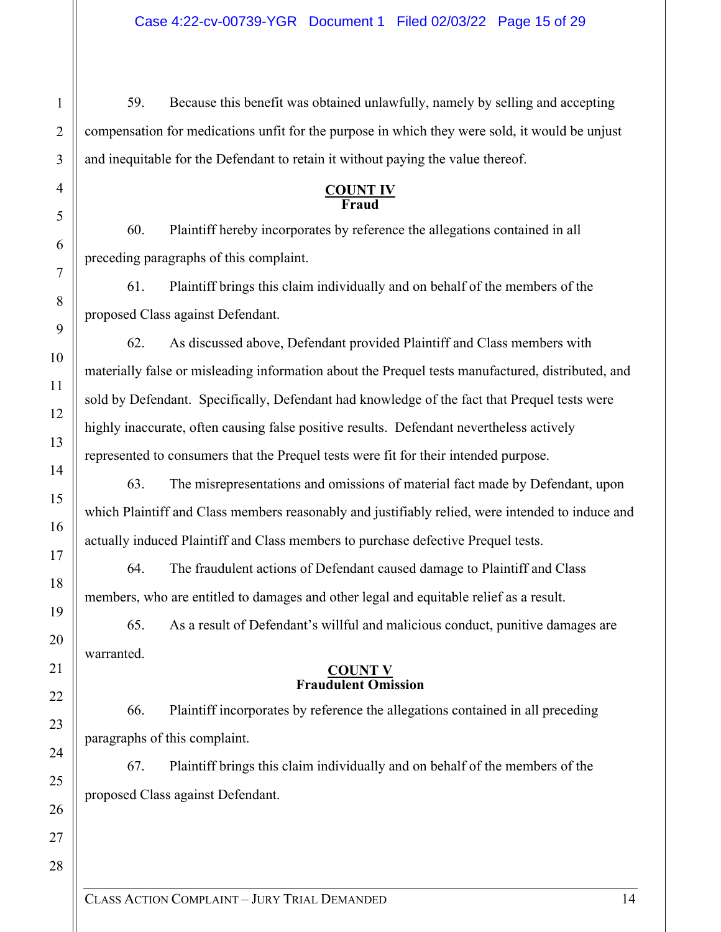59. Because this benefit was obtained unlawfully, namely by selling and accepting compensation for medications unfit for the purpose in which they were sold, it would be unjust and inequitable for the Defendant to retain it without paying the value thereof.

#### **COUNT IV Fraud**

60. Plaintiff hereby incorporates by reference the allegations contained in all preceding paragraphs of this complaint.

61. Plaintiff brings this claim individually and on behalf of the members of the proposed Class against Defendant.

62. As discussed above, Defendant provided Plaintiff and Class members with materially false or misleading information about the Prequel tests manufactured, distributed, and sold by Defendant. Specifically, Defendant had knowledge of the fact that Prequel tests were highly inaccurate, often causing false positive results. Defendant nevertheless actively represented to consumers that the Prequel tests were fit for their intended purpose.

63. The misrepresentations and omissions of material fact made by Defendant, upon which Plaintiff and Class members reasonably and justifiably relied, were intended to induce and actually induced Plaintiff and Class members to purchase defective Prequel tests.

64. The fraudulent actions of Defendant caused damage to Plaintiff and Class members, who are entitled to damages and other legal and equitable relief as a result.

65. As a result of Defendant's willful and malicious conduct, punitive damages are warranted.

#### **COUNT V Fraudulent Omission**

66. Plaintiff incorporates by reference the allegations contained in all preceding paragraphs of this complaint.

67. Plaintiff brings this claim individually and on behalf of the members of the proposed Class against Defendant.

1

2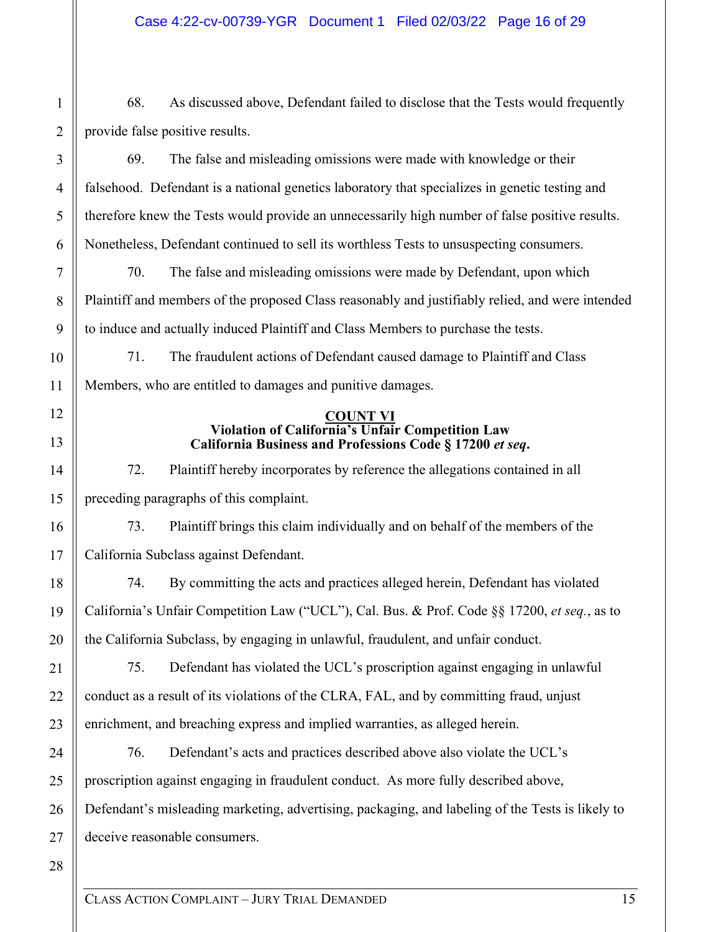68. As discussed above, Defendant failed to disclose that the Tests would frequently provide false positive results.

69. The false and misleading omissions were made with knowledge or their falsehood. Defendant is a national genetics laboratory that specializes in genetic testing and therefore knew the Tests would provide an unnecessarily high number of false positive results. Nonetheless, Defendant continued to sell its worthless Tests to unsuspecting consumers.

70. The false and misleading omissions were made by Defendant, upon which Plaintiff and members of the proposed Class reasonably and justifiably relied, and were intended to induce and actually induced Plaintiff and Class Members to purchase the tests.

71. The fraudulent actions of Defendant caused damage to Plaintiff and Class Members, who are entitled to damages and punitive damages.

#### **COUNT VI Violation of California's Unfair Competition Law California Business and Professions Code § 17200** *et seq***.**

72. Plaintiff hereby incorporates by reference the allegations contained in all preceding paragraphs of this complaint.

73. Plaintiff brings this claim individually and on behalf of the members of the California Subclass against Defendant.

74. By committing the acts and practices alleged herein, Defendant has violated California's Unfair Competition Law ("UCL"), Cal. Bus. & Prof. Code §§ 17200, *et seq.*, as to the California Subclass, by engaging in unlawful, fraudulent, and unfair conduct.

75. Defendant has violated the UCL's proscription against engaging in unlawful conduct as a result of its violations of the CLRA, FAL, and by committing fraud, unjust enrichment, and breaching express and implied warranties, as alleged herein.

76. Defendant's acts and practices described above also violate the UCL's proscription against engaging in fraudulent conduct. As more fully described above, Defendant's misleading marketing, advertising, packaging, and labeling of the Tests is likely to deceive reasonable consumers.

28

1

2

3

4

5

6

7

8

9

10

11

12

13

14

15

16

17

18

19

20

21

22

23

24

25

26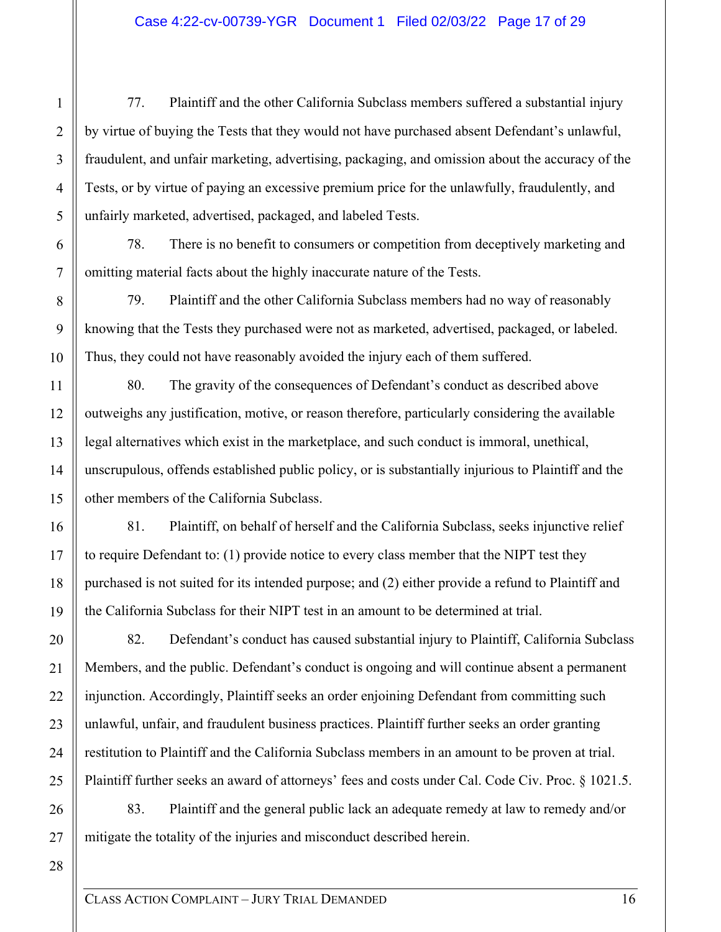77. Plaintiff and the other California Subclass members suffered a substantial injury by virtue of buying the Tests that they would not have purchased absent Defendant's unlawful, fraudulent, and unfair marketing, advertising, packaging, and omission about the accuracy of the Tests, or by virtue of paying an excessive premium price for the unlawfully, fraudulently, and unfairly marketed, advertised, packaged, and labeled Tests.

78. There is no benefit to consumers or competition from deceptively marketing and omitting material facts about the highly inaccurate nature of the Tests.

79. Plaintiff and the other California Subclass members had no way of reasonably knowing that the Tests they purchased were not as marketed, advertised, packaged, or labeled. Thus, they could not have reasonably avoided the injury each of them suffered.

80. The gravity of the consequences of Defendant's conduct as described above outweighs any justification, motive, or reason therefore, particularly considering the available legal alternatives which exist in the marketplace, and such conduct is immoral, unethical, unscrupulous, offends established public policy, or is substantially injurious to Plaintiff and the other members of the California Subclass.

81. Plaintiff, on behalf of herself and the California Subclass, seeks injunctive relief to require Defendant to: (1) provide notice to every class member that the NIPT test they purchased is not suited for its intended purpose; and (2) either provide a refund to Plaintiff and the California Subclass for their NIPT test in an amount to be determined at trial.

82. Defendant's conduct has caused substantial injury to Plaintiff, California Subclass Members, and the public. Defendant's conduct is ongoing and will continue absent a permanent injunction. Accordingly, Plaintiff seeks an order enjoining Defendant from committing such unlawful, unfair, and fraudulent business practices. Plaintiff further seeks an order granting restitution to Plaintiff and the California Subclass members in an amount to be proven at trial. Plaintiff further seeks an award of attorneys' fees and costs under Cal. Code Civ. Proc. § 1021.5.

83. Plaintiff and the general public lack an adequate remedy at law to remedy and/or mitigate the totality of the injuries and misconduct described herein.

28

1

2

3

4

5

6

7

8

9

10

11

12

13

14

15

16

17

18

19

20

21

22

23

24

25

26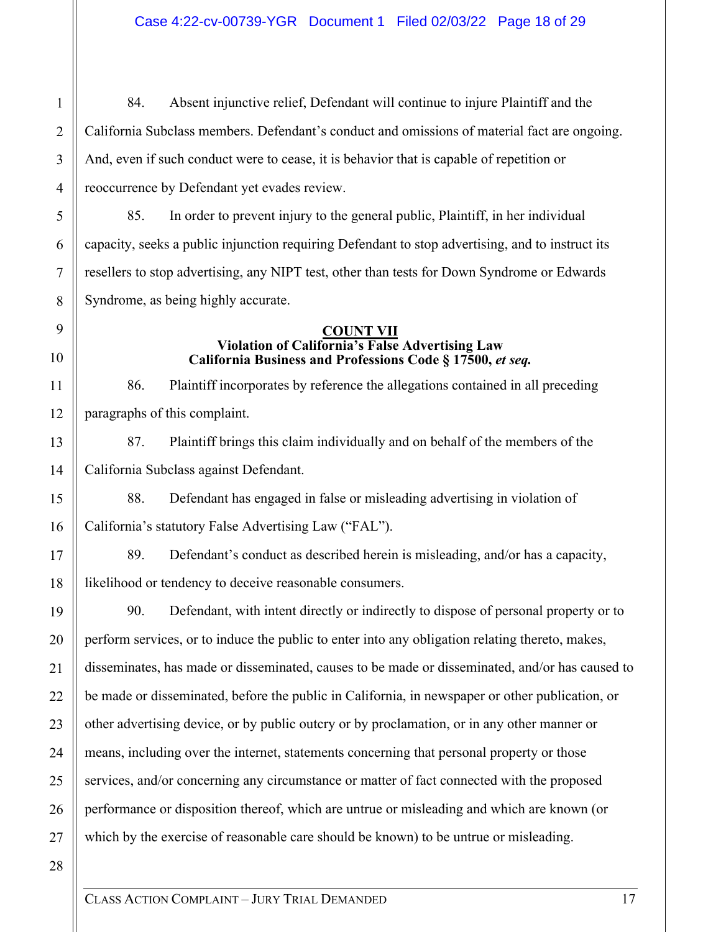84. Absent injunctive relief, Defendant will continue to injure Plaintiff and the California Subclass members. Defendant's conduct and omissions of material fact are ongoing. And, even if such conduct were to cease, it is behavior that is capable of repetition or reoccurrence by Defendant yet evades review.

85. In order to prevent injury to the general public, Plaintiff, in her individual capacity, seeks a public injunction requiring Defendant to stop advertising, and to instruct its resellers to stop advertising, any NIPT test, other than tests for Down Syndrome or Edwards Syndrome, as being highly accurate.

#### **COUNT VII Violation of California's False Advertising Law California Business and Professions Code § 17500,** *et seq.*

86. Plaintiff incorporates by reference the allegations contained in all preceding paragraphs of this complaint.

87. Plaintiff brings this claim individually and on behalf of the members of the California Subclass against Defendant.

88. Defendant has engaged in false or misleading advertising in violation of California's statutory False Advertising Law ("FAL").

89. Defendant's conduct as described herein is misleading, and/or has a capacity, likelihood or tendency to deceive reasonable consumers.

90. Defendant, with intent directly or indirectly to dispose of personal property or to perform services, or to induce the public to enter into any obligation relating thereto, makes, disseminates, has made or disseminated, causes to be made or disseminated, and/or has caused to be made or disseminated, before the public in California, in newspaper or other publication, or other advertising device, or by public outcry or by proclamation, or in any other manner or means, including over the internet, statements concerning that personal property or those services, and/or concerning any circumstance or matter of fact connected with the proposed performance or disposition thereof, which are untrue or misleading and which are known (or which by the exercise of reasonable care should be known) to be untrue or misleading.

28

1

2

3

4

5

6

7

8

9

10

11

12

13

14

15

16

17

18

19

20

21

22

23

24

25

26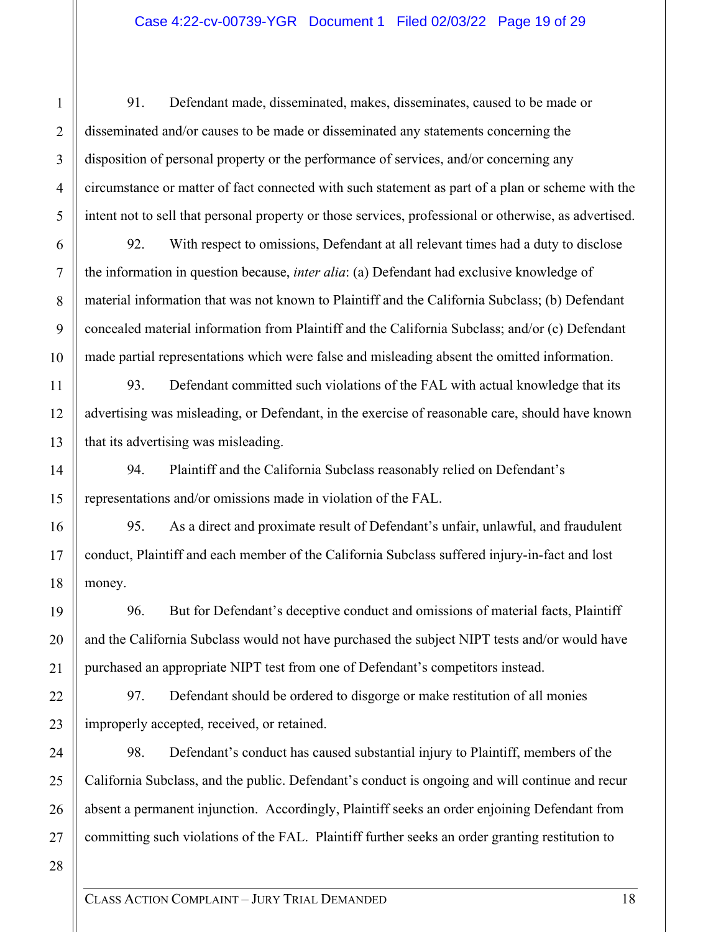91. Defendant made, disseminated, makes, disseminates, caused to be made or disseminated and/or causes to be made or disseminated any statements concerning the disposition of personal property or the performance of services, and/or concerning any circumstance or matter of fact connected with such statement as part of a plan or scheme with the intent not to sell that personal property or those services, professional or otherwise, as advertised.

92. With respect to omissions, Defendant at all relevant times had a duty to disclose the information in question because, *inter alia*: (a) Defendant had exclusive knowledge of material information that was not known to Plaintiff and the California Subclass; (b) Defendant concealed material information from Plaintiff and the California Subclass; and/or (c) Defendant made partial representations which were false and misleading absent the omitted information.

93. Defendant committed such violations of the FAL with actual knowledge that its advertising was misleading, or Defendant, in the exercise of reasonable care, should have known that its advertising was misleading.

94. Plaintiff and the California Subclass reasonably relied on Defendant's representations and/or omissions made in violation of the FAL.

95. As a direct and proximate result of Defendant's unfair, unlawful, and fraudulent conduct, Plaintiff and each member of the California Subclass suffered injury-in-fact and lost money.

96. But for Defendant's deceptive conduct and omissions of material facts, Plaintiff and the California Subclass would not have purchased the subject NIPT tests and/or would have purchased an appropriate NIPT test from one of Defendant's competitors instead.

97. Defendant should be ordered to disgorge or make restitution of all monies improperly accepted, received, or retained.

98. Defendant's conduct has caused substantial injury to Plaintiff, members of the California Subclass, and the public. Defendant's conduct is ongoing and will continue and recur absent a permanent injunction. Accordingly, Plaintiff seeks an order enjoining Defendant from committing such violations of the FAL. Plaintiff further seeks an order granting restitution to

28

1

2

3

4

5

6

7

8

9

10

11

12

13

14

15

16

17

18

19

20

21

22

23

24

25

26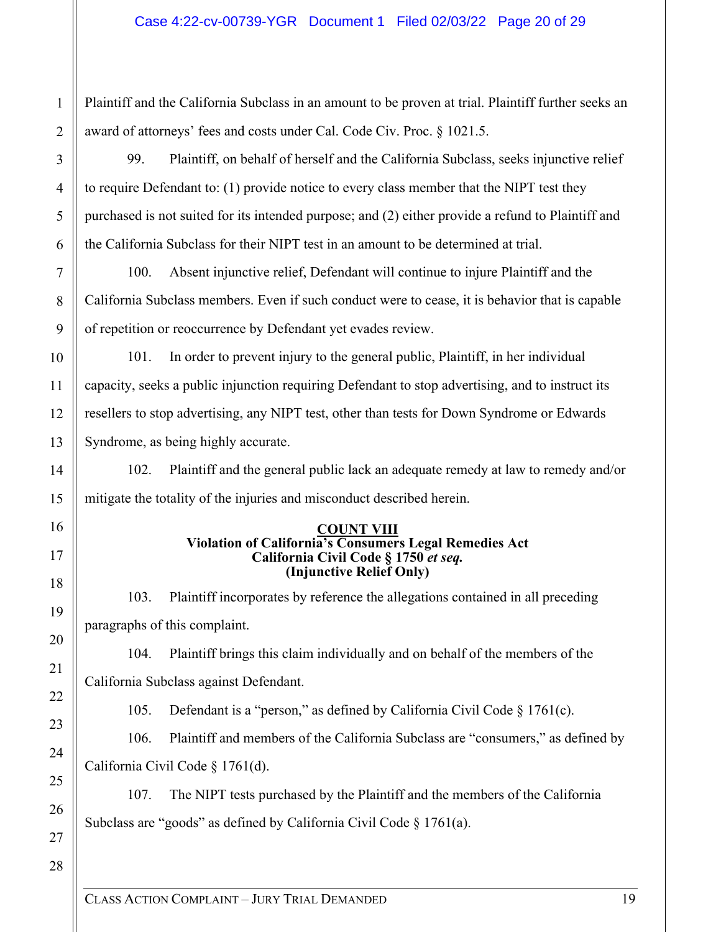Plaintiff and the California Subclass in an amount to be proven at trial. Plaintiff further seeks an award of attorneys' fees and costs under Cal. Code Civ. Proc. § 1021.5.

99. Plaintiff, on behalf of herself and the California Subclass, seeks injunctive relief to require Defendant to: (1) provide notice to every class member that the NIPT test they purchased is not suited for its intended purpose; and (2) either provide a refund to Plaintiff and the California Subclass for their NIPT test in an amount to be determined at trial.

100. Absent injunctive relief, Defendant will continue to injure Plaintiff and the California Subclass members. Even if such conduct were to cease, it is behavior that is capable of repetition or reoccurrence by Defendant yet evades review.

101. In order to prevent injury to the general public, Plaintiff, in her individual capacity, seeks a public injunction requiring Defendant to stop advertising, and to instruct its resellers to stop advertising, any NIPT test, other than tests for Down Syndrome or Edwards Syndrome, as being highly accurate.

102. Plaintiff and the general public lack an adequate remedy at law to remedy and/or mitigate the totality of the injuries and misconduct described herein.

#### **COUNT VIII Violation of California's Consumers Legal Remedies Act California Civil Code § 1750** *et seq.*  **(Injunctive Relief Only)**

103. Plaintiff incorporates by reference the allegations contained in all preceding paragraphs of this complaint.

104. Plaintiff brings this claim individually and on behalf of the members of the California Subclass against Defendant.

105. Defendant is a "person," as defined by California Civil Code § 1761(c).

106. Plaintiff and members of the California Subclass are "consumers," as defined by California Civil Code § 1761(d).

107. The NIPT tests purchased by the Plaintiff and the members of the California Subclass are "goods" as defined by California Civil Code § 1761(a).

26 27 28

1

2

3

4

5

6

7

8

9

10

11

12

13

14

15

16

17

18

19

20

21

22

23

24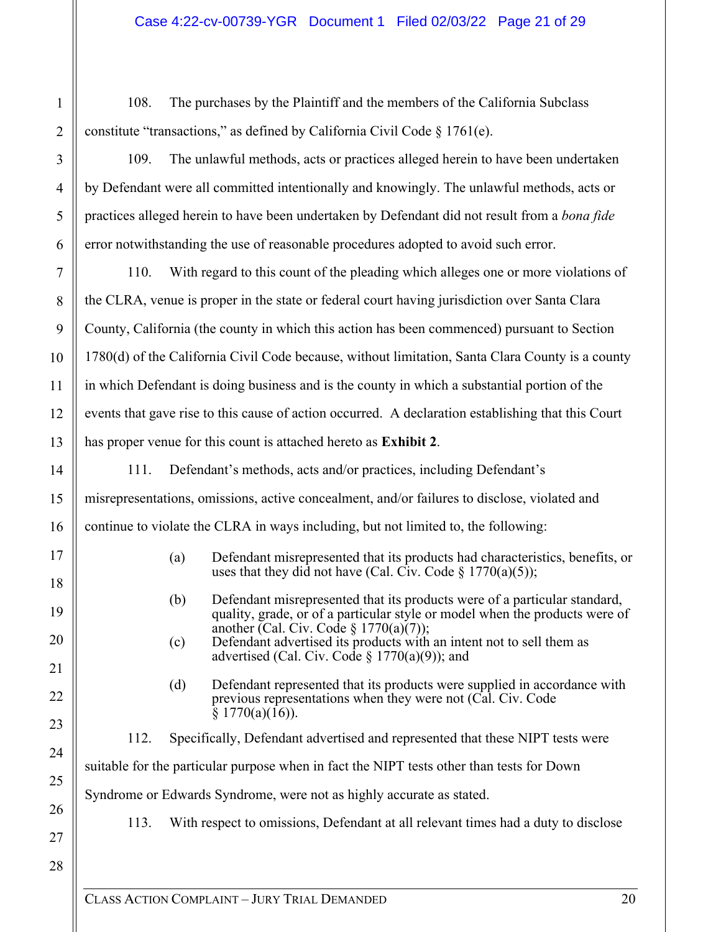108. The purchases by the Plaintiff and the members of the California Subclass constitute "transactions," as defined by California Civil Code  $\S 1761(e)$ .

109. The unlawful methods, acts or practices alleged herein to have been undertaken by Defendant were all committed intentionally and knowingly. The unlawful methods, acts or practices alleged herein to have been undertaken by Defendant did not result from a *bona fide* error notwithstanding the use of reasonable procedures adopted to avoid such error.

110. With regard to this count of the pleading which alleges one or more violations of the CLRA, venue is proper in the state or federal court having jurisdiction over Santa Clara County, California (the county in which this action has been commenced) pursuant to Section 1780(d) of the California Civil Code because, without limitation, Santa Clara County is a county in which Defendant is doing business and is the county in which a substantial portion of the events that gave rise to this cause of action occurred. A declaration establishing that this Court has proper venue for this count is attached hereto as **Exhibit 2**.

111. Defendant's methods, acts and/or practices, including Defendant's misrepresentations, omissions, active concealment, and/or failures to disclose, violated and continue to violate the CLRA in ways including, but not limited to, the following:

- (a) Defendant misrepresented that its products had characteristics, benefits, or uses that they did not have (Cal. Civ. Code  $\S 1770(a)(5)$ );
- (b) Defendant misrepresented that its products were of a particular standard, quality, grade, or of a particular style or model when the products were of another (Cal. Civ. Code  $\S$  1770(a)(7));
- (c) Defendant advertised its products with an intent not to sell them as advertised (Cal. Civ. Code  $\S 1770(a)(9)$ ); and
- (d) Defendant represented that its products were supplied in accordance with previous representations when they were not (Cal. Civ. Code  $\S$  1770(a)(16)).

112. Specifically, Defendant advertised and represented that these NIPT tests were suitable for the particular purpose when in fact the NIPT tests other than tests for Down Syndrome or Edwards Syndrome, were not as highly accurate as stated.

113. With respect to omissions, Defendant at all relevant times had a duty to disclose

27 28

1

2

3

4

5

6

7

8

9

10

11

12

13

14

15

16

17

18

19

20

21

22

23

24

25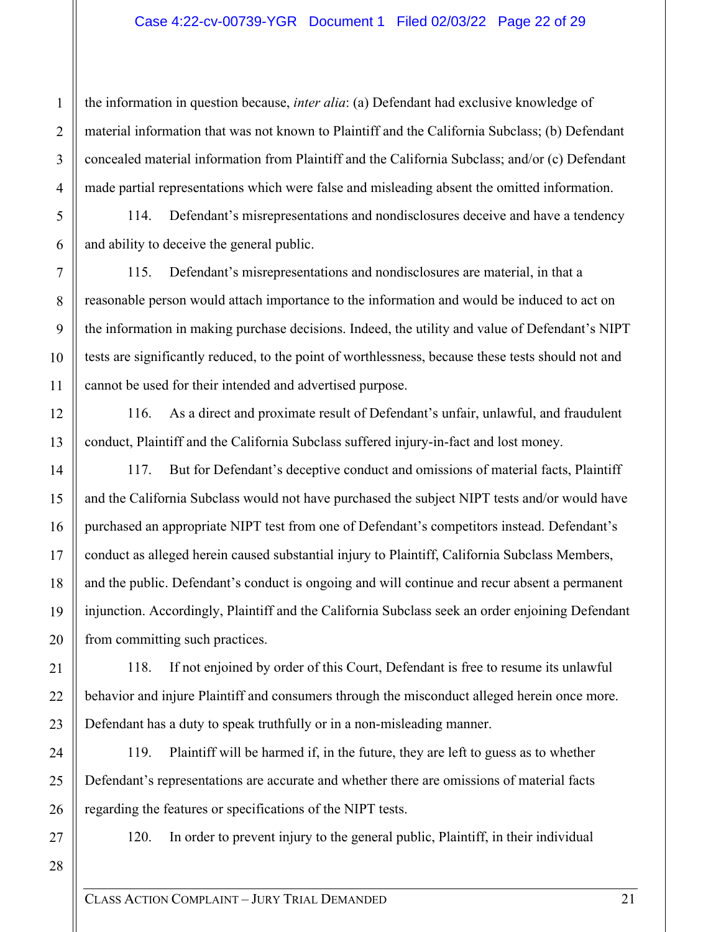#### Case 4:22-cv-00739-YGR Document 1 Filed 02/03/22 Page 22 of 29

the information in question because, *inter alia*: (a) Defendant had exclusive knowledge of material information that was not known to Plaintiff and the California Subclass; (b) Defendant concealed material information from Plaintiff and the California Subclass; and/or (c) Defendant made partial representations which were false and misleading absent the omitted information.

114. Defendant's misrepresentations and nondisclosures deceive and have a tendency and ability to deceive the general public.

115. Defendant's misrepresentations and nondisclosures are material, in that a reasonable person would attach importance to the information and would be induced to act on the information in making purchase decisions. Indeed, the utility and value of Defendant's NIPT tests are significantly reduced, to the point of worthlessness, because these tests should not and cannot be used for their intended and advertised purpose.

116. As a direct and proximate result of Defendant's unfair, unlawful, and fraudulent conduct, Plaintiff and the California Subclass suffered injury-in-fact and lost money.

117. But for Defendant's deceptive conduct and omissions of material facts, Plaintiff and the California Subclass would not have purchased the subject NIPT tests and/or would have purchased an appropriate NIPT test from one of Defendant's competitors instead. Defendant's conduct as alleged herein caused substantial injury to Plaintiff, California Subclass Members, and the public. Defendant's conduct is ongoing and will continue and recur absent a permanent injunction. Accordingly, Plaintiff and the California Subclass seek an order enjoining Defendant from committing such practices.

118. If not enjoined by order of this Court, Defendant is free to resume its unlawful behavior and injure Plaintiff and consumers through the misconduct alleged herein once more. Defendant has a duty to speak truthfully or in a non-misleading manner.

119. Plaintiff will be harmed if, in the future, they are left to guess as to whether Defendant's representations are accurate and whether there are omissions of material facts regarding the features or specifications of the NIPT tests.

27

1

2

3

4

5

6

7

8

9

10

11

12

13

14

15

16

17

18

19

20

21

22

23

24

25

26

120. In order to prevent injury to the general public, Plaintiff, in their individual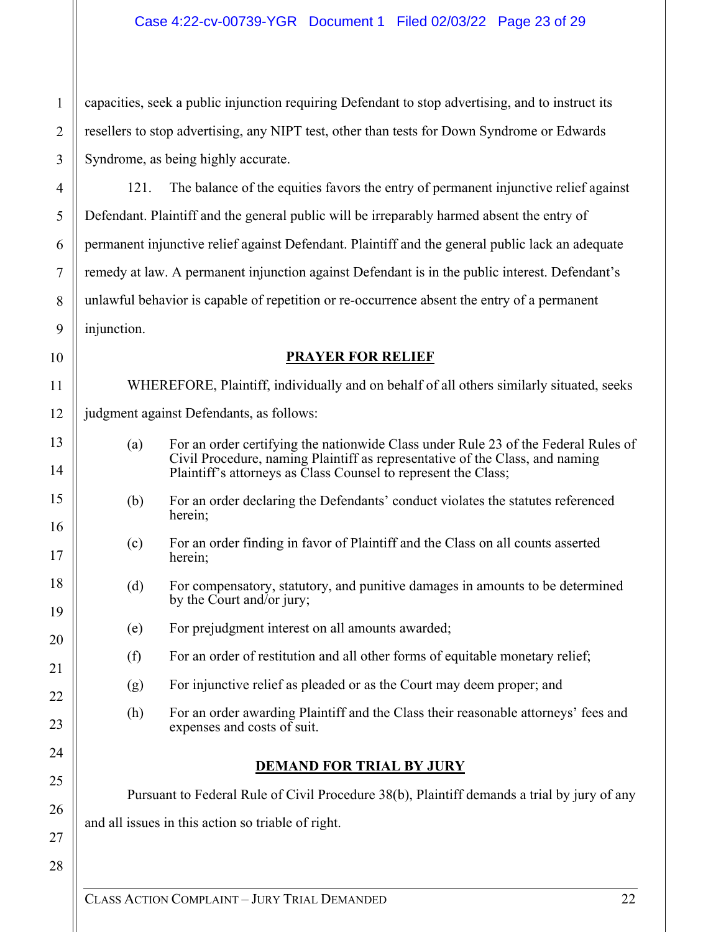capacities, seek a public injunction requiring Defendant to stop advertising, and to instruct its resellers to stop advertising, any NIPT test, other than tests for Down Syndrome or Edwards Syndrome, as being highly accurate.

121. The balance of the equities favors the entry of permanent injunctive relief against Defendant. Plaintiff and the general public will be irreparably harmed absent the entry of permanent injunctive relief against Defendant. Plaintiff and the general public lack an adequate remedy at law. A permanent injunction against Defendant is in the public interest. Defendant's unlawful behavior is capable of repetition or re-occurrence absent the entry of a permanent injunction.

10

1

2

3

4

5

6

7

8

9

11

12

13

14

15

16

17

18

19

20

21

22

23

24

25

26

27

# **PRAYER FOR RELIEF**

WHEREFORE, Plaintiff, individually and on behalf of all others similarly situated, seeks judgment against Defendants, as follows:

- (a) For an order certifying the nationwide Class under Rule 23 of the Federal Rules of Civil Procedure, naming Plaintiff as representative of the Class, and naming Plaintiff's attorneys as Class Counsel to represent the Class;
- (b) For an order declaring the Defendants' conduct violates the statutes referenced herein;
- (c) For an order finding in favor of Plaintiff and the Class on all counts asserted herein;
- (d) For compensatory, statutory, and punitive damages in amounts to be determined by the Court and/or jury;
- (e) For prejudgment interest on all amounts awarded;
- (f) For an order of restitution and all other forms of equitable monetary relief;
	- (g) For injunctive relief as pleaded or as the Court may deem proper; and
	- (h) For an order awarding Plaintiff and the Class their reasonable attorneys' fees and expenses and costs of suit.

# **DEMAND FOR TRIAL BY JURY**

Pursuant to Federal Rule of Civil Procedure 38(b), Plaintiff demands a trial by jury of any

and all issues in this action so triable of right.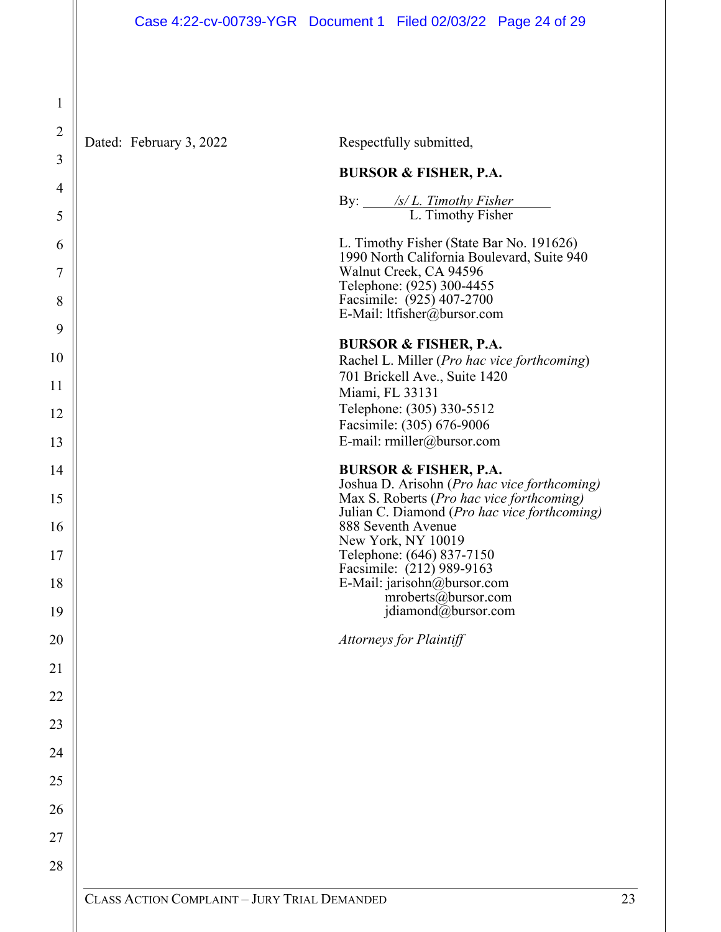1

2 3 4 5 6 7 8 9 10 11 12 13 14 15 16 17 18 19 20 21 22 23 24 25 26 27 28 Dated: February 3, 2022 Respectfully submitted, **BURSOR & FISHER, P.A.** By: */s/ L. Timothy Fisher*  L. Timothy Fisher L. Timothy Fisher (State Bar No. 191626) 1990 North California Boulevard, Suite 940 Walnut Creek, CA 94596 Telephone: (925) 300-4455 Facsimile: (925) 407-2700 E-Mail: ltfisher@bursor.com **BURSOR & FISHER, P.A.**  Rachel L. Miller (*Pro hac vice forthcoming*) 701 Brickell Ave., Suite 1420 Miami, FL 33131 Telephone: (305) 330-5512 Facsimile: (305) 676-9006 E-mail: rmiller@bursor.com **BURSOR & FISHER, P.A.**  Joshua D. Arisohn (*Pro hac vice forthcoming)*  Max S. Roberts (*Pro hac vice forthcoming)* Julian C. Diamond (*Pro hac vice forthcoming)*  888 Seventh Avenue New York, NY 10019 Telephone: (646) 837-7150 Facsimile: (212) 989-9163 E-Mail: jarisohn@bursor.com mroberts@bursor.com jdiamond@bursor.com *Attorneys for Plaintiff*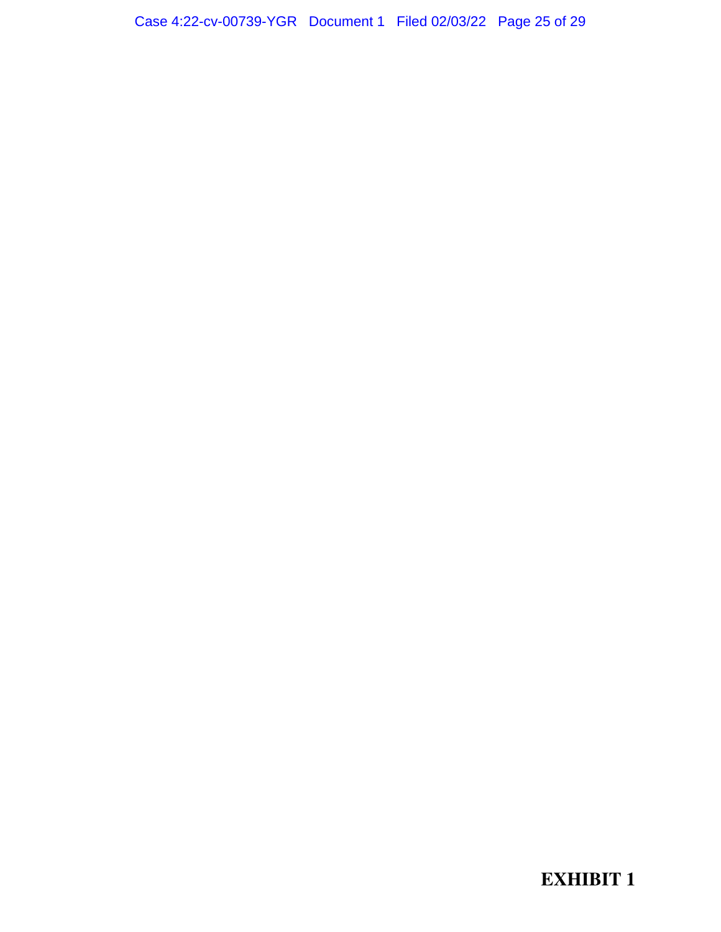**EXHIBIT 1**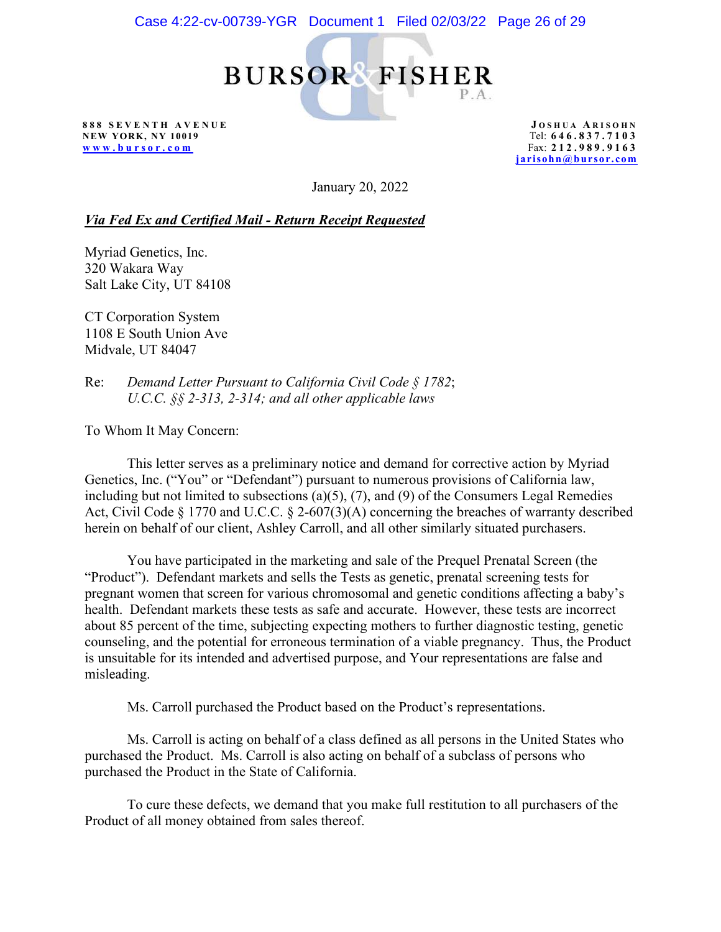**BURSOR FISHER**  $P.A.$ 

**888 SEVENTH AVENUE NEW YORK, NY 10019 www.bur sor.com**

**J OSHUA A RISOHN** Tel: **646 . 837 . 7 1 0 3**  Fax: **212.989 . 9163 jarisohn@bursor.com**

January 20, 2022

*Via Fed Ex and Certified Mail - Return Receipt Requested*

Myriad Genetics, Inc. 320 Wakara Way Salt Lake City, UT 84108

CT Corporation System 1108 E South Union Ave Midvale, UT 84047

Re: *Demand Letter Pursuant to California Civil Code § 1782*; *U.C.C. §§ 2-313, 2-314; and all other applicable laws*

To Whom It May Concern:

This letter serves as a preliminary notice and demand for corrective action by Myriad Genetics, Inc. ("You" or "Defendant") pursuant to numerous provisions of California law, including but not limited to subsections  $(a)(5)$ ,  $(7)$ , and  $(9)$  of the Consumers Legal Remedies Act, Civil Code § 1770 and U.C.C. § 2-607(3)(A) concerning the breaches of warranty described herein on behalf of our client, Ashley Carroll, and all other similarly situated purchasers.

You have participated in the marketing and sale of the Prequel Prenatal Screen (the "Product"). Defendant markets and sells the Tests as genetic, prenatal screening tests for pregnant women that screen for various chromosomal and genetic conditions affecting a baby's health. Defendant markets these tests as safe and accurate. However, these tests are incorrect about 85 percent of the time, subjecting expecting mothers to further diagnostic testing, genetic counseling, and the potential for erroneous termination of a viable pregnancy. Thus, the Product is unsuitable for its intended and advertised purpose, and Your representations are false and misleading.

Ms. Carroll purchased the Product based on the Product's representations.

Ms. Carroll is acting on behalf of a class defined as all persons in the United States who purchased the Product. Ms. Carroll is also acting on behalf of a subclass of persons who purchased the Product in the State of California.

To cure these defects, we demand that you make full restitution to all purchasers of the Product of all money obtained from sales thereof.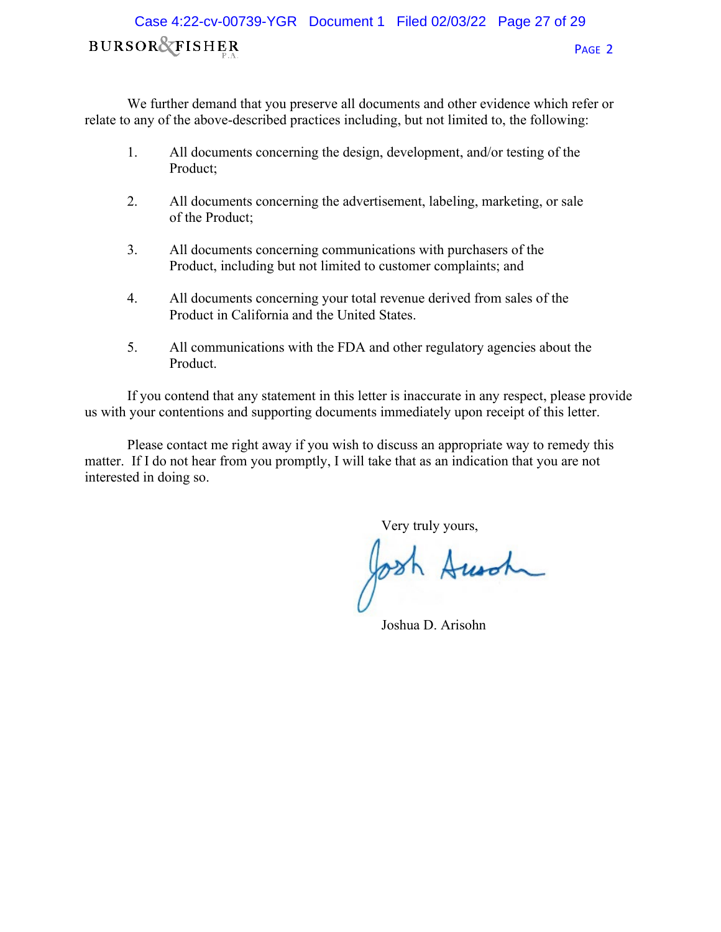# **BURSOR&FISHER** PAGE 2 Case 4:22-cv-00739-YGR Document 1 Filed 02/03/22 Page 27 of 29

We further demand that you preserve all documents and other evidence which refer or relate to any of the above-described practices including, but not limited to, the following:

- 1. All documents concerning the design, development, and/or testing of the Product;
- 2. All documents concerning the advertisement, labeling, marketing, or sale of the Product;
- 3. All documents concerning communications with purchasers of the Product, including but not limited to customer complaints; and
- 4. All documents concerning your total revenue derived from sales of the Product in California and the United States.
- 5. All communications with the FDA and other regulatory agencies about the Product.

If you contend that any statement in this letter is inaccurate in any respect, please provide us with your contentions and supporting documents immediately upon receipt of this letter.

Please contact me right away if you wish to discuss an appropriate way to remedy this matter. If I do not hear from you promptly, I will take that as an indication that you are not interested in doing so.

Very truly yours,

Ausch

Joshua D. Arisohn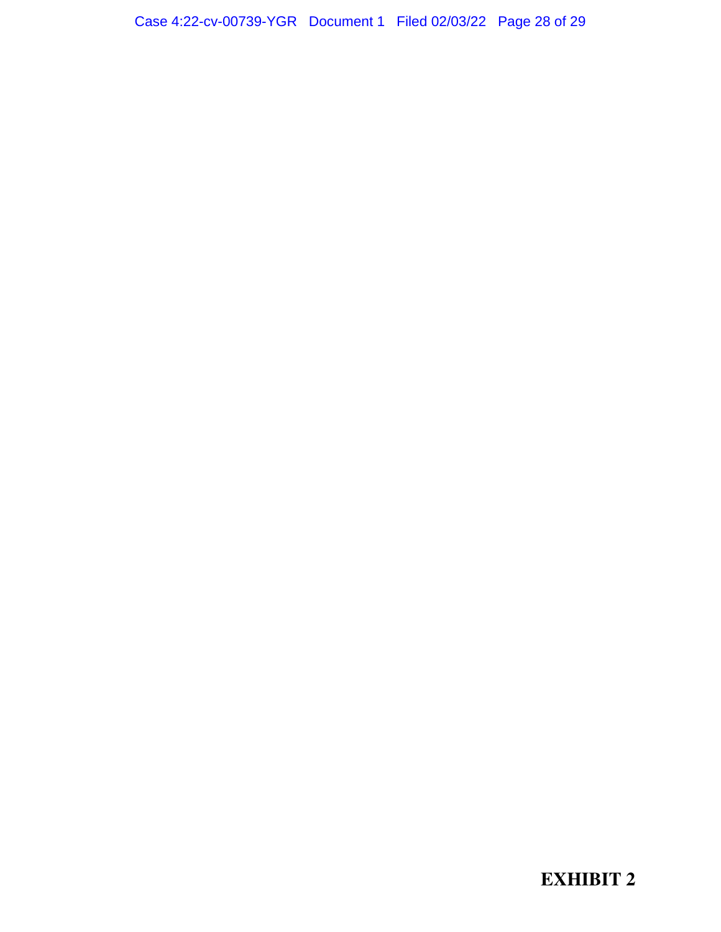**EXHIBIT 2**